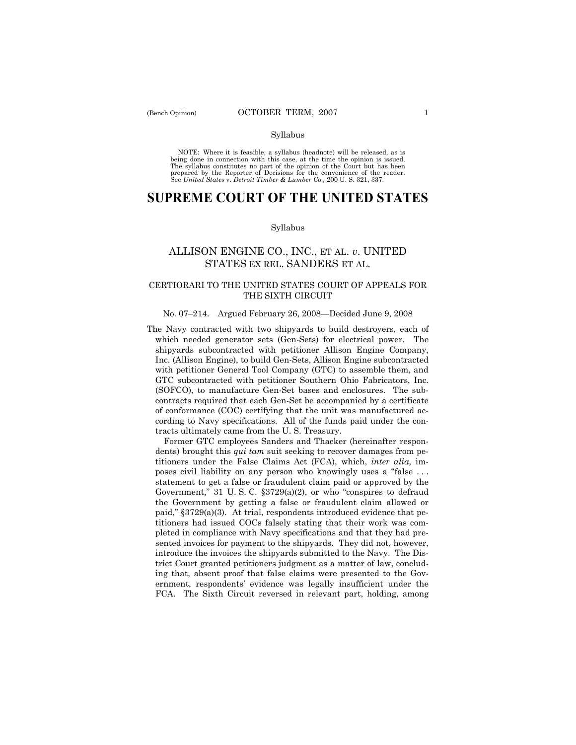#### Syllabus

NOTE: Where it is feasible, a syllabus (headnote) will be released, as is being done in connection with this case, at the time the opinion is issued. The syllabus constitutes no part of the opinion of the Court but has been<br>prepared by the Reporter of Decisions for the convenience of the reader.<br>See United States v. Detroit Timber & Lumber Co., 200 U. S. 321, 337.

# **SUPREME COURT OF THE UNITED STATES**

#### Syllabus

## ALLISON ENGINE CO., INC., ET AL. *v*. UNITED STATES EX REL. SANDERS ET AL.

## CERTIORARI TO THE UNITED STATES COURT OF APPEALS FOR THE SIXTH CIRCUIT

#### No. 07–214. Argued February 26, 2008—Decided June 9, 2008

The Navy contracted with two shipyards to build destroyers, each of which needed generator sets (Gen-Sets) for electrical power. The shipyards subcontracted with petitioner Allison Engine Company, Inc. (Allison Engine), to build Gen-Sets, Allison Engine subcontracted with petitioner General Tool Company (GTC) to assemble them, and GTC subcontracted with petitioner Southern Ohio Fabricators, Inc. (SOFCO), to manufacture Gen-Set bases and enclosures. The subcontracts required that each Gen-Set be accompanied by a certificate of conformance (COC) certifying that the unit was manufactured according to Navy specifications. All of the funds paid under the contracts ultimately came from the U. S. Treasury.

 Former GTC employees Sanders and Thacker (hereinafter respondents) brought this *qui tam* suit seeking to recover damages from petitioners under the False Claims Act (FCA), which, *inter alia,* imposes civil liability on any person who knowingly uses a "false . . . statement to get a false or fraudulent claim paid or approved by the Government," 31 U. S. C. §3729(a)(2), or who "conspires to defraud the Government by getting a false or fraudulent claim allowed or paid," §3729(a)(3). At trial, respondents introduced evidence that petitioners had issued COCs falsely stating that their work was completed in compliance with Navy specifications and that they had presented invoices for payment to the shipyards. They did not, however, introduce the invoices the shipyards submitted to the Navy. The District Court granted petitioners judgment as a matter of law, concluding that, absent proof that false claims were presented to the Government, respondents' evidence was legally insufficient under the FCA. The Sixth Circuit reversed in relevant part, holding, among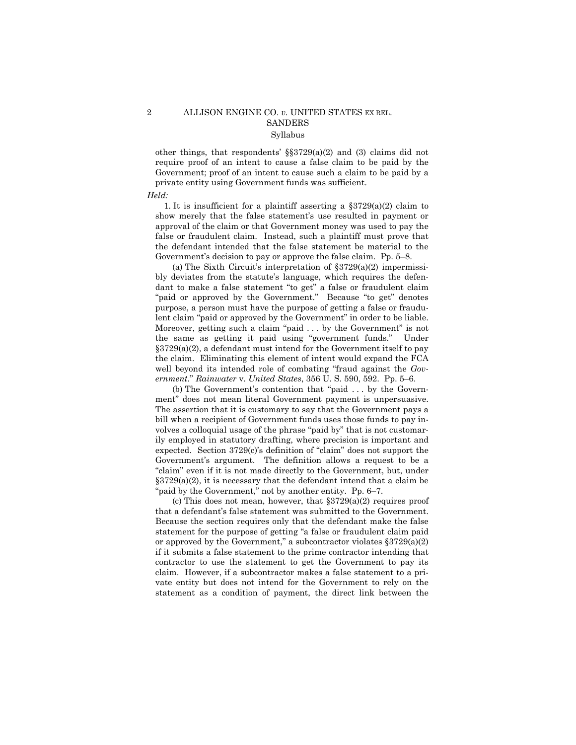## 2 ALLISON ENGINE CO. *v.* UNITED STATES EX REL. **SANDERS** Syllabus

other things, that respondents' §§3729(a)(2) and (3) claims did not require proof of an intent to cause a false claim to be paid by the Government; proof of an intent to cause such a claim to be paid by a private entity using Government funds was sufficient.

#### *Held:*

1. It is insufficient for a plaintiff asserting a  $\S 3729(a)(2)$  claim to show merely that the false statement's use resulted in payment or approval of the claim or that Government money was used to pay the false or fraudulent claim. Instead, such a plaintiff must prove that the defendant intended that the false statement be material to the Government's decision to pay or approve the false claim. Pp. 5–8.

 (a) The Sixth Circuit's interpretation of §3729(a)(2) impermissibly deviates from the statute's language, which requires the defendant to make a false statement "to get" a false or fraudulent claim "paid or approved by the Government." Because "to get" denotes purpose, a person must have the purpose of getting a false or fraudulent claim "paid or approved by the Government" in order to be liable. Moreover, getting such a claim "paid . . . by the Government" is not the same as getting it paid using "government funds." Under §3729(a)(2), a defendant must intend for the Government itself to pay the claim. Eliminating this element of intent would expand the FCA well beyond its intended role of combating "fraud against the *Government*." *Rainwater* v. *United States*, 356 U. S. 590, 592. Pp. 5–6.

 (b) The Government's contention that "paid . . . by the Government" does not mean literal Government payment is unpersuasive. The assertion that it is customary to say that the Government pays a bill when a recipient of Government funds uses those funds to pay involves a colloquial usage of the phrase "paid by" that is not customarily employed in statutory drafting, where precision is important and expected. Section 3729(c)'s definition of "claim" does not support the Government's argument. The definition allows a request to be a "claim" even if it is not made directly to the Government, but, under  $\S 3729(a)(2)$ , it is necessary that the defendant intend that a claim be "paid by the Government," not by another entity. Pp. 6–7.

 (c) This does not mean, however, that §3729(a)(2) requires proof that a defendant's false statement was submitted to the Government. Because the section requires only that the defendant make the false statement for the purpose of getting "a false or fraudulent claim paid or approved by the Government," a subcontractor violates  $$3729(a)(2)$ if it submits a false statement to the prime contractor intending that contractor to use the statement to get the Government to pay its claim. However, if a subcontractor makes a false statement to a private entity but does not intend for the Government to rely on the statement as a condition of payment, the direct link between the